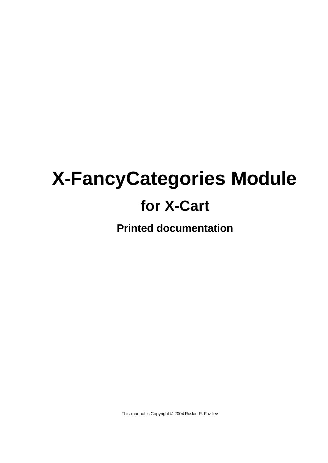# **X-FancyCategories Module for X-Cart**

**Printed documentation**

This manual is Copyright © 2004 Ruslan R. Faz liev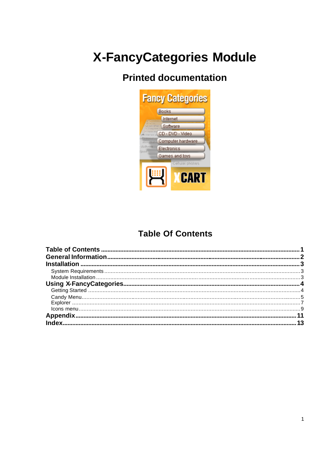# **X-FancyCategories Module**

# **Printed documentation**



### **Table Of Contents**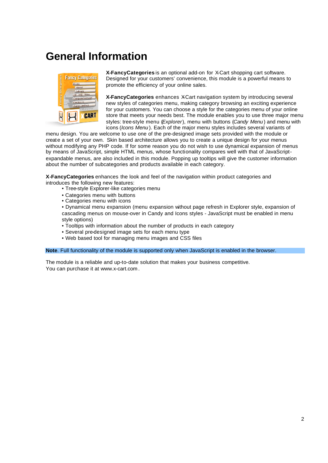# **General Information**



**X-FancyCategories** is an optional add-on for X-Cart shopping cart software. Designed for your customers' convenience, this module is a powerful means to promote the efficiency of your online sales.

**X-FancyCategories** enhances X-Cart navigation system by introducing several new styles of categories menu, making category browsing an exciting experience for your customers. You can choose a style for the categories menu of your online store that meets your needs best. The module enables you to use three major menu styles: tree-style menu (*Explorer*), menu with buttons (*Candy Menu* ) and menu with icons (*Icons Menu* ). Each of the major menu styles includes several variants of

menu design. You are welcome to use one of the pre-designed image sets provided with the module or create a set of your own. Skin based architecture allows you to create a unique design for your menus without modifying any PHP code. If for some reason you do not wish to use dynamical expansion of menus by means of JavaScript, simple HTML menus, whose functionality compares well with that of JavaScriptexpandable menus, are also included in this module. Popping up tooltips will give the customer information about the number of subcategories and products available in each category.

**X-FancyCategories** enhances the look and feel of the navigation within product categories and introduces the following new features:

- Tree-style Explorer-like categories menu
- Categories menu with buttons
- Categories menu with icons

• Dynamical menu expansion (menu expansion without page refresh in Explorer style, expansion of cascading menus on mouse-over in Candy and Icons styles - JavaScript must be enabled in menu style options)

- Tooltips with information about the number of products in each category
- Several pre-designed image sets for each menu type
- Web based tool for managing menu images and CSS files

**Note**. Full functionality of the module is supported only when JavaScript is enabled in the browser.

The module is a reliable and up-to-date solution that makes your business competitive. You can purchase it at www.x-cart.com .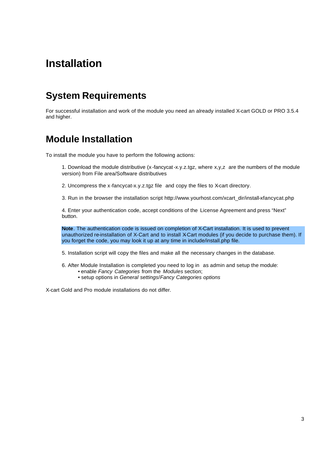# **Installation**

# **System Requirements**

For successful installation and work of the module you need an already installed X-cart GOLD or PRO 3.5.4 and higher.

### **Module Installation**

To install the module you have to perform the following actions:

1. Download the module distributive (x -fancycat-x.y.z.tgz, where x,y,z are the numbers of the module version) from File area/Software distributives

- 2. Uncompress the x-fancycat-x.y.z.tgz file and copy the files to X-cart directory.
- 3. Run in the browser the installation script http://www.yourhost.com/xcart\_dir/install-xfancycat.php

4. Enter your authentication code, accept conditions of the License Agreement and press "Next" button.

**Note**. The authentication code is issued on completion of X-Cart installation. It is used to prevent unauthorized re-installation of X-Cart and to install X-Cart modules (if you decide to purchase them). If you forget the code, you may look it up at any time in include/install.php file.

5. Installation script will copy the files and make all the necessary changes in the database.

- 6. After Module Installation is completed you need to log in as admin and setup the module:
	- enable *Fancy Categories* from the *Modules* section;
	- setup options in *General settings*/*Fancy Categories options*

X-cart Gold and Pro module installations do not differ.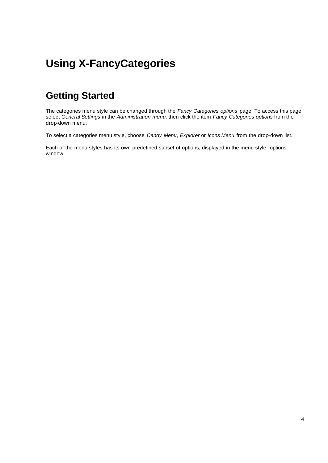# **Using X-FancyCategories**

# **Getting Started**

The categories menu style can be changed through the *Fancy Categories options* page. To access this page select *General Settings* in the *Administration menu*, then click the item *Fancy Categories options* from the drop-down menu.

To select a categories menu style, choose *Candy Menu*, *Explorer* or *Icons Menu* from the drop-down list.

Each of the menu styles has its own predefined subset of options, displayed in the menu style options window.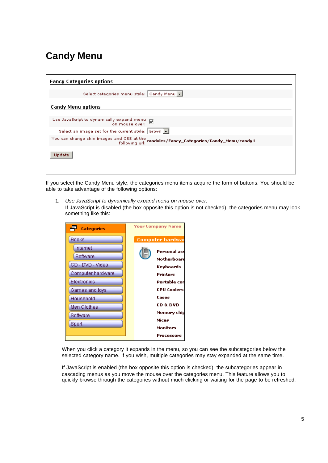# **Candy Menu**

| <b>Fancy Categories options</b>                                                                        |
|--------------------------------------------------------------------------------------------------------|
| Select categories menu style: Candy Menu v                                                             |
| <b>Candy Menu options</b>                                                                              |
|                                                                                                        |
| Use JavaScript to dynamically expand menu $\overline{M}$<br>on mouse over:                             |
| Select an image set for the current style:   Brown                                                     |
| You can change skin images and CSS at the modules/Fancy_Categories/Candy_Menu/candy1<br>following url: |
| Update                                                                                                 |

If you select the Candy Menu style, the categories menu items acquire the form of buttons. You should be able to take advantage of the following options:

1. *Use JavaScript to dynamically expand menu on mouse over.*

If JavaScript is disabled (the box opposite this option is not checked), the categories menu may look something like this:

| Categories        | <b>Your Company Name</b>        |
|-------------------|---------------------------------|
| <b>Books</b>      | Computer hardwai                |
| Internet          | Personal ass                    |
| Software          | Motherboard                     |
| CD - DVD - Video  | Keyboards                       |
| Computer hardware | Printers                        |
| Electronics       | Portable con                    |
| Games and toys    | <b>CPU Coolers</b>              |
| Household         | Cases                           |
| Men Clothes       | CD & DVD                        |
| Software          | Memory chip                     |
| Sport             | Mices<br>Monitors<br>Processors |

When you click a category it expands in the menu, so you can see the subcategories below the selected category name. If you wish, multiple categories may stay expanded at the same time.

If JavaScript is enabled (the box opposite this option is checked), the subcategories appear in cascading menus as you move the mouse over the categories menu. This feature allows you to quickly browse through the categories without much clicking or waiting for the page to be refreshed.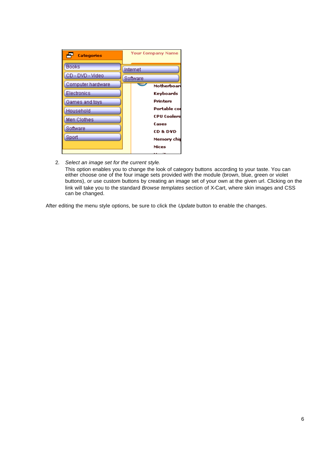| Categories        | <b>Your Company Name</b>           |
|-------------------|------------------------------------|
| <b>Books</b>      | Internet                           |
| CD - DVD - Video  | Software                           |
| Computer hardware | Motherboar                         |
| Electronics       | Keyboards                          |
| Games and toys    | Printers                           |
| Household         | Portable con                       |
| Men Clothes       | <b>CPU Coolers</b>                 |
| Software          | Cases                              |
| Sport             | <b>CD &amp; DVD</b><br>Memory chip |
|                   | Mices                              |

2. *Select an image set for the current style*. This option enables you to change the look of category buttons according to your taste. You can either choose one of the four image sets provided with the module (brown, blue, green or violet buttons), or use custom buttons by creating an image set of your own at the given url. Clicking on the link will take you to the standard *Browse templates* section of X-Cart, where skin images and CSS can be changed.

After editing the menu style options, be sure to click the *Update* button to enable the changes.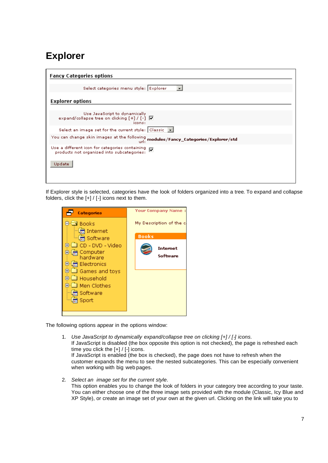# **Explorer**

| <b>Fancy Categories options</b>                                                                   |
|---------------------------------------------------------------------------------------------------|
| Select categories menu style: Explorer<br>$\mathbf{r}$                                            |
|                                                                                                   |
| <b>Explorer options</b>                                                                           |
|                                                                                                   |
| Use JavaScript to dynamically<br>expand/collapse tree on clicking $[+] / [-] \nabla$<br>icons:    |
| Select an image set for the current style: $ $ Classic $\  \bullet \ $                            |
| You can change skin images at the following $_{\rm{url}}$ ; modules/Fancy_Categories/Explorer/std |
| Use a different icon for categories containing V<br>products not organized into subcategories:    |
| Update                                                                                            |
|                                                                                                   |

If Explorer style is selected, categories have the look of folders organized into a tree. To expand and collapse folders, click the  $[+] / [-]$  icons next to them.

| Categories                                                                                                                                                                                                                                | <b>Your Company Name:</b>                                       |
|-------------------------------------------------------------------------------------------------------------------------------------------------------------------------------------------------------------------------------------------|-----------------------------------------------------------------|
| l annks<br>- [烏 Internet<br>…[景 Software<br>CD - DVD - Video<br>$\overline{+}$<br>Computer<br>hardware<br>Electronics<br>$\mathbf{H}$<br>⊕∙⊠ Games and toys<br>े Household<br>□ Men Clothes<br>$\overline{\text{+}}$<br>Software<br>Sport | My Description of the c<br><b>Books</b><br>Internet<br>Software |

The following options appear in the options window:

- 1. *Use JavaScript to dynamically expand/collapse tree on clicking [+] / [-] icons.* If JavaScript is disabled (the box opposite this option is not checked), the page is refreshed each time you click the [+] / [-] icons. If JavaScript is enabled (the box is checked), the page does not have to refresh when the customer expands the menu to see the nested subcategories. This can be especially convenient when working with big web pages.
- 2. *Select an image set for the current style*. This option enables you to change the look of folders in your category tree according to your taste. You can either choose one of the three image sets provided with the module (Classic, Icy Blue and XP Style), or create an image set of your own at the given url. Clicking on the link will take you to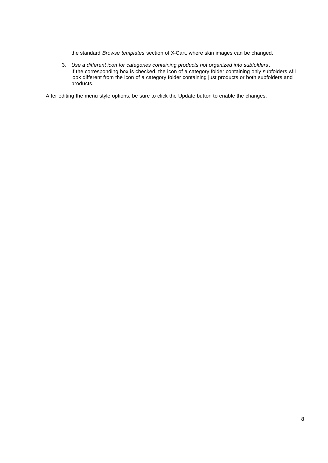the standard *Browse templates* section of X-Cart, where skin images can be changed.

3. *Use a different icon for categories containing products not organized into subfolders*. If the corresponding box is checked, the icon of a category folder containing only subfolders will look different from the icon of a category folder containing just products or both subfolders and products.

After editing the menu style options, be sure to click the Update button to enable the changes.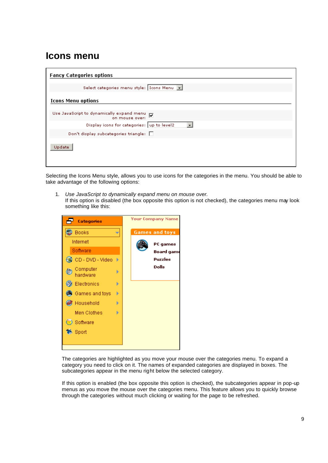### **Icons menu**

| <b>Fancy Categories options</b>                                            |
|----------------------------------------------------------------------------|
| Select categories menu style:   Icons Menu  v                              |
| <b>Icons Menu options</b>                                                  |
|                                                                            |
| Use JavaScript to dynamically expand menu $\overline{M}$<br>on mouse over: |
| Display icons for categories: up to level2<br>$\overline{\phantom{a}}$     |
| Don't display subcategories triangle: $\Box$                               |
| Update                                                                     |

Selecting the Icons Menu style, allows you to use icons for the categories in the menu. You should be able to take advantage of the following options:

1. *Use JavaScript to dynamically expand menu on mouse over.*  If this option is disabled (the box opposite this option is not checked), the categories menu may look something like this:



The categories are highlighted as you move your mouse over the categories menu. To expand a category you need to click on it. The names of expanded categories are displayed in boxes. The subcategories appear in the menu right below the selected category.

If this option is enabled (the box opposite this option is checked), the subcategories appear in pop-up menus as you move the mouse over the categories menu. This feature allows you to quickly browse through the categories without much clicking or waiting for the page to be refreshed.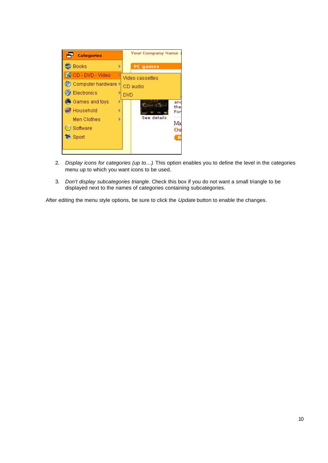

- 2. *Display icons for categories (up to…)*. This option enables you to define the level in the categories menu up to which you want icons to be used.
- 3. *Don't display subcategories triangle*. Check this box if you do not want a small triangle to be displayed next to the names of categories containing subcategories.

After editing the menu style options, be sure to click the *Update* button to enable the changes.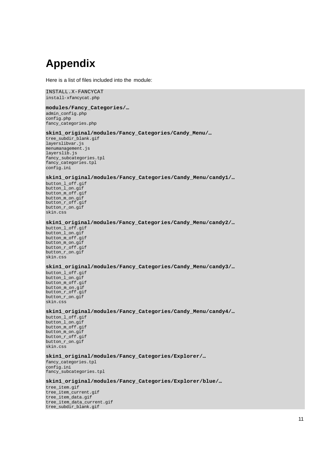# **Appendix**

Here is a list of files included into the module:

INSTALL.X-FANCYCAT install-xfancycat.php

#### **modules/Fancy\_Categories/…**

admin\_config.php config.php fancy\_categories.php

#### **skin1\_original/modules/Fancy\_Categories/Candy\_Menu/…**

tree\_subdir\_blank.gif layerslibvar.js menumanagement.js layerslib.js fancy\_subcategories.tpl fancy\_categories.tpl config.ini

#### **skin1\_original/modules/Fancy\_Categories/Candy\_Menu/candy1/…**

button\_l\_off.gif button\_l\_on.gif button\_m\_off.gif button\_m\_on.gif button\_r\_off.gif button\_r\_on.gif skin.css

#### **skin1\_original/modules/Fancy\_Categories/Candy\_Menu/candy2/…**

button\_l\_off.gif button\_l\_on.gif button\_m\_off.gif button\_m\_on.gif button\_r\_off.gif button\_r\_on.gif skin.css

#### **skin1\_original/modules/Fancy\_Categories/Candy\_Menu/candy3/…**

button\_l\_off.gif button\_l\_on.gif button\_m\_off.gif button\_m\_on.gif button\_r\_off.gif button\_r\_on.gif skin.css

#### **skin1\_original/modules/Fancy\_Categories/Candy\_Menu/candy4/…**

button\_l\_off.gif button\_l\_on.gif button\_m\_off.gif button\_m\_on.gif button\_r\_off.gif button\_r\_on.gif skin.css

#### **skin1\_original/modules/Fancy\_Categories/Explorer/…**

fancy\_categories.tpl config.ini fancy\_subcategories.tpl

#### **skin1\_original/modules/Fancy\_Categories/Explorer/blue/…**

tree\_item.gif tree\_item\_current.gif tree\_item\_data.gif tree\_item\_data\_current.gif tree\_subdir\_blank.gif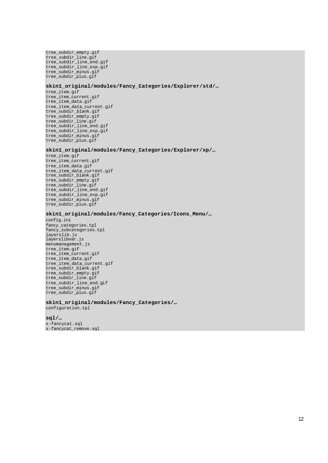tree\_subdir\_empty.gif tree\_subdir\_line.gif tree\_subdir\_line\_end.gif tree\_subdir\_line\_exp.gif tree\_subdir\_minus.gif tree\_subdir\_plus.gif

#### **skin1\_original/modules/Fancy\_Categories/Explorer/std/…**

tree\_item.gif tree\_item\_current.gif tree\_item\_data.gif tree\_item\_data\_current.gif tree\_subdir\_blank.gif tree\_subdir\_empty.gif tree\_subdir\_line.gif tree\_subdir\_line\_end.gif tree\_subdir\_line\_exp.gif tree\_subdir\_minus.gif tree\_subdir\_plus.gif

#### **skin1\_original/modules/Fancy\_Categories/Explorer/xp/…**

tree item.gif tree\_item\_current.gif tree\_item\_data.gif tree\_item\_data\_current.gif tree\_subdir\_blank.gif tree\_subdir\_empty.gif tree\_subdir\_line.gif tree\_subdir\_line\_end.gif tree\_subdir\_line\_exp.gif tree\_subdir\_minus.gif tree\_subdir\_plus.gif

#### **skin1\_original/modules/Fancy\_Categories/Icons\_Menu/…**

config.ini fancy\_categories.tpl fancy\_subcategories.tpl layerslib.js layerslibvar.js menumanagement.js tree\_item.gif tree\_item\_current.gif tree\_item\_data.gif tree\_item\_data\_current.gif tree\_subdir\_blank.gif tree\_subdir\_empty.gif tree\_subdir\_line.gif tree\_subdir\_line\_end.gif tree\_subdir\_minus.gif tree\_subdir\_plus.gif

#### **skin1\_original/modules/Fancy\_Categories/…**

configuration.tpl

#### **sql/…**

x-fancycat.sql x-fancycat\_remove.sql